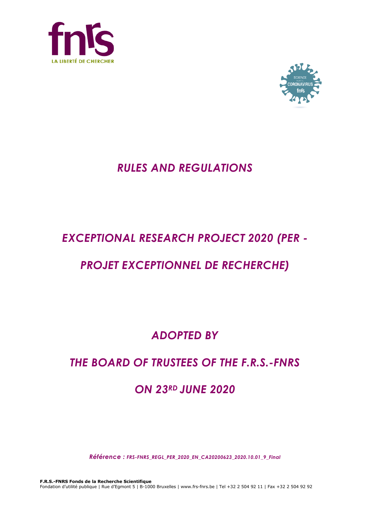



# *RULES AND REGULATIONS*

# *EXCEPTIONAL RESEARCH PROJECT 2020 (PER -*

# *PROJET EXCEPTIONNEL DE RECHERCHE)*

# *ADOPTED BY*

# *THE BOARD OF TRUSTEES OF THE F.R.S.-FNRS*

# *ON 23RD JUNE 2020*

*Référence : FRS-FNRS\_REGL\_PER\_2020\_EN\_CA20200623\_2020.10.01\_9\_Final*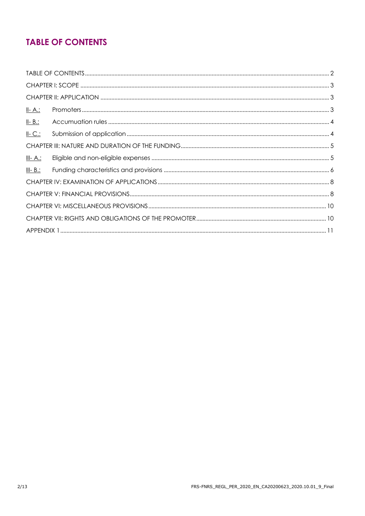## **TABLE OF CONTENTS**

| <u>II-A:</u>    |  |
|-----------------|--|
| $II - B$ .:     |  |
| $II-C.$         |  |
|                 |  |
| <u>III- A.:</u> |  |
| $III - B.$ :    |  |
|                 |  |
|                 |  |
|                 |  |
|                 |  |
|                 |  |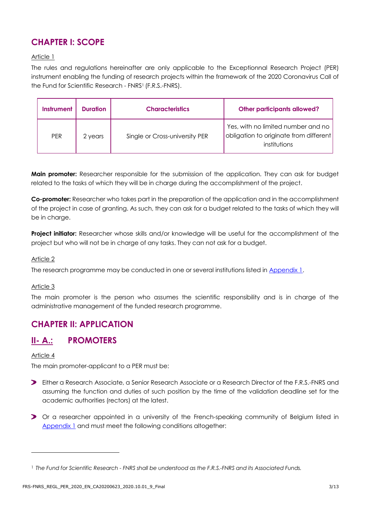## **CHAPTER I: SCOPE**

#### Article 1

The rules and regulations hereinafter are only applicable to the Exceptionnal Research Project (PER) instrument enabling the funding of research projects within the framework of the 2020 Coronavirus Call of the Fund for Scientific Research - FNRS1 (F.R.S.-FNRS).

| <b>Instrument</b> | <b>Duration</b> | <b>Characteristics</b>         | <b>Other participants allowed?</b>                                                           |
|-------------------|-----------------|--------------------------------|----------------------------------------------------------------------------------------------|
| <b>PFR</b>        | 2 years         | Single or Cross-university PER | Yes, with no limited number and no<br>obligation to originate from different<br>institutions |

**Main promoter:** Researcher responsible for the submission of the application. They can ask for budget related to the tasks of which they will be in charge during the accomplishment of the project.

**Co-promoter:** Researcher who takes part in the preparation of the application and in the accomplishment of the project in case of granting. As such, they can ask for a budget related to the tasks of which they will be in charge.

**Project initiator:** Researcher whose skills and/or knowledge will be useful for the accomplishment of the project but who will not be in charge of any tasks. They can not ask for a budget.

#### Article 2

The research programme may be conducted in one or several institutions listed in [Appendix](#page-10-0) 1.

#### Article 3

The main promoter is the person who assumes the scientific responsibility and is in charge of the administrative management of the funded research programme.

### **CHAPTER II: APPLICATION**

### **II- A.: PROMOTERS**

#### Article 4

1

The main promoter-applicant to a PER must be:

- Either a Research Associate, a Senior Research Associate or a Research Director of the F.R.S.-FNRS and assuming the function and duties of such position by the time of the validation deadline set for the academic authorities (rectors) at the latest.
- Or a researcher appointed in a university of the French-speaking community of Belgium listed in [Appendix 1](#page-10-0) and must meet the following conditions altogether:

<sup>1</sup> *The Fund for Scientific Research - FNRS shall be understood as the F.R.S.-FNRS and its Associated Funds.*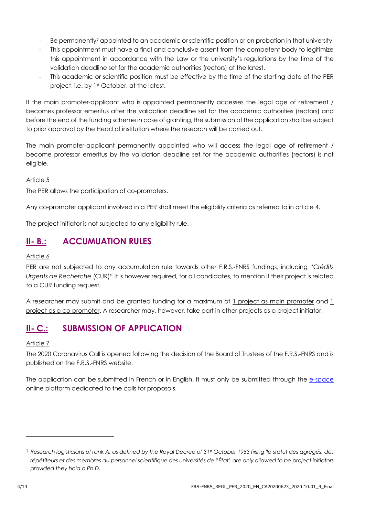- Be permanently<sup>2</sup> appointed to an academic or scientific position or on probation in that university.
- This appointment must have a final and conclusive assent from the competent body to legitimize this appointment in accordance with the Law or the university's regulations by the time of the validation deadline set for the academic authorities (rectors) at the latest.
- This academic or scientific position must be effective by the time of the starting date of the PER project, i.e. by 1st October, at the latest.

If the main promoter-applicant who is appointed permanently accesses the legal age of retirement / becomes professor emeritus after the validation deadline set for the academic authorities (rectors) and before the end of the funding scheme in case of granting, the submission of the application shall be subject to prior approval by the Head of institution where the research will be carried out.

The main promoter-applicant permanently appointed who will access the legal age of retirement / become professor emeritus by the validation deadline set for the academic authorities (rectors) is not eligible.

#### Article 5

The PER allows the participation of co-promoters.

Any co-promoter applicant involved in a PER shall meet the eligibility criteria as referred to in article 4.

The project initiator is not subjected to any eligibility rule.

### **II- B.: ACCUMUATION RULES**

#### Article 6

PER are not subjected to any accumulation rule towards other F.R.S.-FNRS fundings, including "*Crédits Urgents de Recherche* (CUR)" It is however required, for all candidates, to mention if their project is related to a CUR funding request.

A researcher may submit and be granted funding for a maximum of 1 project as main promoter and 1 project as a co-promoter. A researcher may, however, take part in other projects as a project initiator.

### **II- C.: SUBMISSION OF APPLICATION**

#### Article 7

The 2020 Coronavirus Call is opened following the decision of the Board of Trustees of the F.R.S.-FNRS and is published on the F.R.S.-FNRS website.

The application can be submitted in French or in English. It must only be submitted through the [e-space](https://e-space.frs-fnrs.be/) online platform dedicated to the calls for proposals.

l

<sup>2</sup> *Research logisticians of rank A, as defined by the Royal Decree of 31st October 1953 fixing 'le statut des agrégés, des répétiteurs et des membres du personnel scientifique des universités de l'État', are only allowed to be project initiators provided they hold a Ph.D.*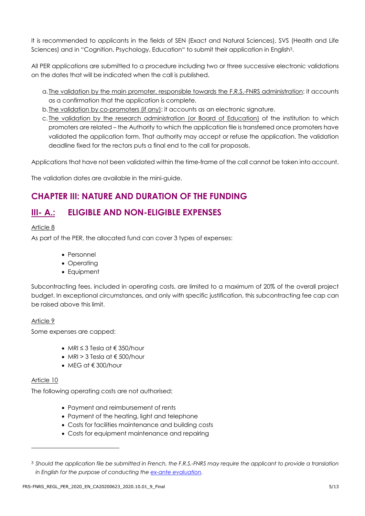It is recommended to applicants in the fields of SEN (Exact and Natural Sciences), SVS (Health and Life Sciences) and in "Cognition, Psychology, Education" to submit their application in English<sup>3</sup>.

All PER applications are submitted to a procedure including two or three successive electronic validations on the dates that will be indicated when the call is published.

- a.The validation by the main promoter, responsible towards the F.R.S.-FNRS administration: it accounts as a confirmation that the application is complete.
- b.The validation by co-promoters (if any): it accounts as an electronic signature.
- c. The validation by the research administration (or Board of Education) of the institution to which promoters are related – the Authority to which the application file is transferred once promoters have validated the application form. That authority may accept or refuse the application. The validation deadline fixed for the rectors puts a final end to the call for proposals.

Applications that have not been validated within the time-frame of the call cannot be taken into account.

The validation dates are available in the mini-guide.

## **CHAPTER III: NATURE AND DURATION OF THE FUNDING**

### **III- A.: ELIGIBLE AND NON-ELIGIBLE EXPENSES**

#### Article 8

As part of the PER, the allocated fund can cover 3 types of expenses:

- Personnel
- Operating
- Equipment

Subcontracting fees, included in operating costs, are limited to a maximum of 20% of the overall project budget. In exceptional circumstances, and only with specific justification, this subcontracting fee cap can be raised above this limit.

#### Article 9

Some expenses are capped:

- MRI ≤ 3 Tesla at € 350/hour
- $\bullet$  MRI > 3 Tesla at  $\epsilon$  500/hour
- $MEG$  at  $\notin$  300/hour

#### Article 10

-

The following operating costs are not authorised:

- Payment and reimbursement of rents
- Payment of the heating, light and telephone
- Costs for facilities maintenance and building costs
- Costs for equipment maintenance and repairing

<sup>3</sup> *Should the application file be submitted in French, the F.R.S.-FNRS may require the applicant to provide a translation in English for the purpose of conducting th[e ex-ante evaluation.](https://www.frs-fnrs.be/docs/Reglement-et-documents/FRS-FNRS_Guide_Evaluation_EN.pdf)*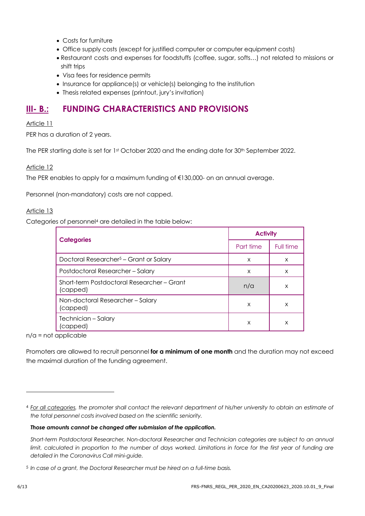- Costs for furniture
- Office supply costs (except for justified computer or computer equipment costs)
- Restaurant costs and expenses for foodstuffs (coffee, sugar, softs…) not related to missions or shift trips
- Visa fees for residence permits
- Insurance for appliance(s) or vehicle(s) belonging to the institution
- Thesis related expenses (printout, jury's invitation)

### **III- B.: FUNDING CHARACTERISTICS AND PROVISIONS**

#### Article 11

PER has a duration of 2 years.

The PER starting date is set for 1st October 2020 and the ending date for 30<sup>th</sup> September 2022.

#### Article 12

The PER enables to apply for a maximum funding of €130,000- on an annual average.

Personnel (non-mandatory) costs are not capped.

#### Article 13

Categories of personnel<sup>4</sup> are detailed in the table below:

|                                                        | <b>Activity</b> |           |
|--------------------------------------------------------|-----------------|-----------|
| <b>Categories</b>                                      | Part time       | Full time |
| Doctoral Researcher <sup>5</sup> – Grant or Salary     | X               | X         |
| Postdoctoral Researcher-Salary                         | X               | X         |
| Short-term Postdoctoral Researcher - Grant<br>(capped) | n/a             | X         |
| Non-doctoral Researcher - Salary<br>(capped)           | X               | X         |
| Technician - Salary<br>capped)                         | X               | X         |

 $n/a$  = not applicable

Promoters are allowed to recruit personnel **for a minimum of one month** and the duration may not exceed the maximal duration of the funding agreement.

#### *Those amounts cannot be changed after submission of the application.*

l

<sup>4</sup> *For all categories, the promoter shall contact the relevant department of his/her university to obtain an estimate of the total personnel costs involved based on the scientific seniority.*

*Short-term Postdoctoral Researcher, Non-doctoral Researcher and Technician categories are subject to an annual limit, calculated in proportion to the number of days worked. Limitations in force for the first year of funding are detailed in the Coronavirus Call mini-guide.*

<sup>5</sup> *In case of a grant, the Doctoral Researcher must be hired on a full-time basis.*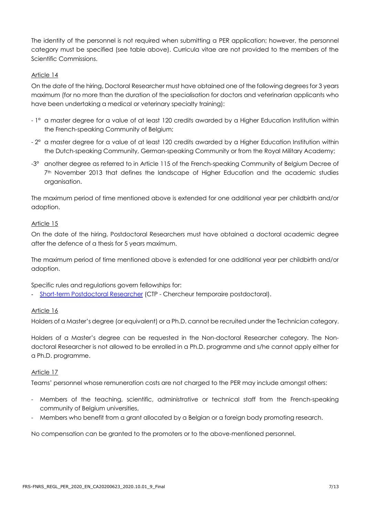The identity of the personnel is not required when submitting a PER application; however, the personnel category must be specified (see table above). Curricula vitae are not provided to the members of the Scientific Commissions.

#### Article 14

On the date of the hiring, Doctoral Researcher must have obtained one of the following degrees for 3 years maximum (for no more than the duration of the specialisation for doctors and veterinarian applicants who have been undertaking a medical or veterinary specialty training):

- 1° a master degree for a value of at least 120 credits awarded by a Higher Education Institution within the French-speaking Community of Belgium;
- 2° a master degree for a value of at least 120 credits awarded by a Higher Education Institution within the Dutch-speaking Community, German-speaking Community or from the Royal Military Academy;
- -3° another degree as referred to in Article 115 of the French-speaking Community of Belgium Decree of 7<sup>th</sup> November 2013 that defines the landscape of Higher Education and the academic studies organisation.

The maximum period of time mentioned above is extended for one additional year per childbirth and/or adoption.

#### Article 15

On the date of the hiring, Postdoctoral Researchers must have obtained a doctoral academic degree after the defence of a thesis for 5 years maximum.

The maximum period of time mentioned above is extended for one additional year per childbirth and/or adoption.

Specific rules and regulations govern fellowships for:

- [Short-term Postdoctoral Researcher](https://www.frs-fnrs.be/docs/Reglement-et-documents/FRS-FNRS_REGL_CTP_EN.pdf) (CTP - Chercheur temporaire postdoctoral).

#### Article 16

Holders of a Master's degree (or equivalent) or a Ph.D. cannot be recruited under the Technician category.

Holders of a Master's degree can be requested in the Non-doctoral Researcher category. The Nondoctoral Researcher is not allowed to be enrolled in a Ph.D. programme and s/he cannot apply either for a Ph.D. programme.

#### Article 17

Teams' personnel whose remuneration costs are not charged to the PER may include amongst others:

- Members of the teaching, scientific, administrative or technical staff from the French-speaking community of Belgium universities,
- Members who benefit from a grant allocated by a Belgian or a foreign body promoting research.

No compensation can be granted to the promoters or to the above-mentioned personnel.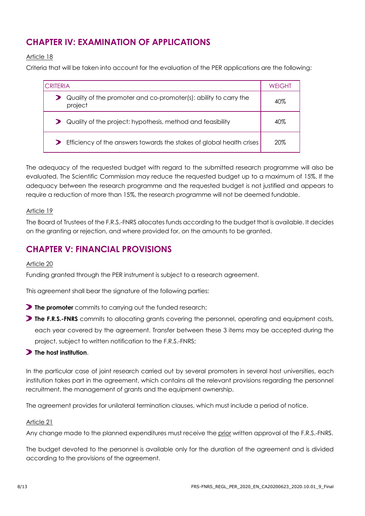## **CHAPTER IV: EXAMINATION OF APPLICATIONS**

#### Article 18

Criteria that will be taken into account for the evaluation of the PER applications are the following:

| <b>CRITERIA</b>                                                             | <b>WEIGHT</b> |
|-----------------------------------------------------------------------------|---------------|
| Quality of the promoter and co-promoter(s): ability to carry the<br>project | 40%           |
| Quality of the project: hypothesis, method and feasibility                  | $40\%$        |
| Efficiency of the answers towards the stakes of global health crises        | 20%           |

The adequacy of the requested budget with regard to the submitted research programme will also be evaluated. The Scientific Commission may reduce the requested budget up to a maximum of 15%. If the adequacy between the research programme and the requested budget is not justified and appears to require a reduction of more than 15%, the research programme will not be deemed fundable.

#### Article 19

The Board of Trustees of the F.R.S.-FNRS allocates funds according to the budget that is available. It decides on the granting or rejection, and where provided for, on the amounts to be granted.

### **CHAPTER V: FINANCIAL PROVISIONS**

#### Article 20

Funding granted through the PER instrument is subject to a research agreement.

This agreement shall bear the signature of the following parties:

- **The promoter** commits to carrying out the funded research;
- **The F.R.S.-FNRS** commits to allocating grants covering the personnel, operating and equipment costs, each year covered by the agreement. Transfer between these 3 items may be accepted during the project, subject to written notification to the F.R.S.-FNRS;

#### **The host institution**.

In the particular case of joint research carried out by several promoters in several host universities, each institution takes part in the agreement, which contains all the relevant provisions regarding the personnel recruitment, the management of grants and the equipment ownership.

The agreement provides for unilateral termination clauses, which must include a period of notice.

#### Article 21

Any change made to the planned expenditures must receive the prior written approval of the F.R.S.-FNRS.

The budget devoted to the personnel is available only for the duration of the agreement and is divided according to the provisions of the agreement.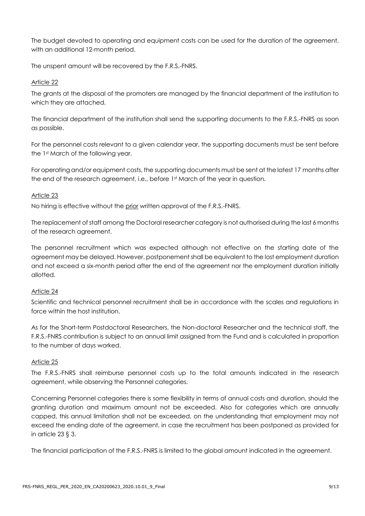The budget devoted to operating and equipment costs can be used for the duration of the agreement, with an additional 12-month period.

The unspent amount will be recovered by the F.R.S.-FNRS.

#### Article 22

The grants at the disposal of the promoters are managed by the financial department of the institution to which they are attached.

The financial department of the institution shall send the supporting documents to the F.R.S.-FNRS as soon as possible.

For the personnel costs relevant to a given calendar year, the supporting documents must be sent before the 1st March of the following year.

For operating and/or equipment costs, the supporting documents must be sent at the latest 17 months after the end of the research agreement, i.e., before 1st March of the year in question.

#### Article 23

No hiring is effective without the prior written approval of the F.R.S.-FNRS.

The replacement of staff among the Doctoral researcher category is not authorised during the last 6 months of the research agreement.

The personnel recruitment which was expected although not effective on the starting date of the agreement may be delayed. However, postponement shall be equivalent to the lost employment duration and not exceed a six-month period after the end of the agreement nor the employment duration initially allotted.

#### Article 24

Scientific and technical personnel recruitment shall be in accordance with the scales and regulations in force within the host institution.

As for the Short-term Postdoctoral Researchers, the Non-doctoral Researcher and the technical staff, the F.R.S.-FNRS contribution is subject to an annual limit assigned from the Fund and is calculated in proportion to the number of days worked.

#### Article 25

The F.R.S.-FNRS shall reimburse personnel costs up to the total amounts indicated in the research agreement, while observing the Personnel categories.

Concerning Personnel categories there is some flexibility in terms of annual costs and duration, should the granting duration and maximum amount not be exceeded. Also for categories which are annually capped, this annual limitation shall not be exceeded, on the understanding that employment may not exceed the ending date of the agreement, in case the recruitment has been postponed as provided for in article 23 § 3.

The financial participation of the F.R.S.-FNRS is limited to the global amount indicated in the agreement.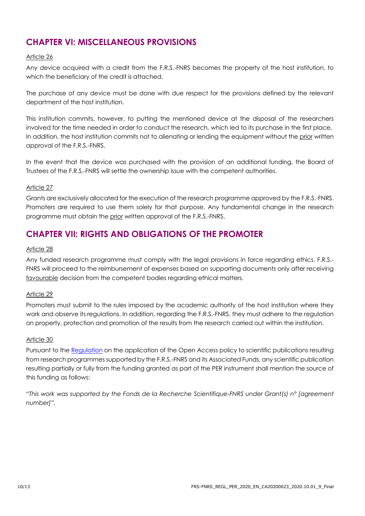## **CHAPTER VI: MISCELLANEOUS PROVISIONS**

#### Article 26

Any device acquired with a credit from the F.R.S.-FNRS becomes the property of the host institution, to which the beneficiary of the credit is attached.

The purchase of any device must be done with due respect for the provisions defined by the relevant department of the host institution.

This institution commits, however, to putting the mentioned device at the disposal of the researchers involved for the time needed in order to conduct the research, which led to its purchase in the first place. In addition, the host institution commits not to alienating or lending the equipment without the prior written approval of the F.R.S.-FNRS.

In the event that the device was purchased with the provision of an additional funding, the Board of Trustees of the F.R.S.-FNRS will settle the ownership issue with the competent authorities.

#### Article 27

Grants are exclusively allocated for the execution of the research programme approved by the F.R.S.-FNRS. Promoters are required to use them solely for that purpose. Any fundamental change in the research programme must obtain the prior written approval of the F.R.S.-FNRS.

### **CHAPTER VII: RIGHTS AND OBLIGATIONS OF THE PROMOTER**

#### Article 28

Any funded research programme must comply with the legal provisions in force regarding ethics. F.R.S.- FNRS will proceed to the reimbursement of expenses based on supporting documents only after receiving favourable decision from the competent bodies regarding ethical matters.

#### Article 29

Promoters must submit to the rules imposed by the academic authority of the host institution where they work and observe its regulations. In addition, regarding the F.R.S.-FNRS, they must adhere to the regulation on property, protection and promotion of the results from the research carried out within the institution.

#### Article 30

Pursuant to the [Regulation](https://www.fnrs.be/docs/Reglement_OPEN_ACCESS_EN.pdf) on the application of the Open Access policy to scientific publications resulting from research programmes supported by the F.R.S.-FNRS and its Associated Funds, any scientific publication resulting partially or fully from the funding granted as part of the PER instrument shall mention the source of this funding as follows:

*"This work was supported by the Fonds de la Recherche Scientifique-FNRS under Grant(s) n° [agreement number]".*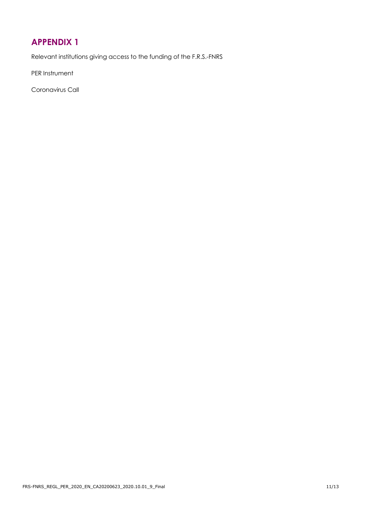## <span id="page-10-0"></span>**APPENDIX 1**

Relevant institutions giving access to the funding of the F.R.S.-FNRS

PER Instrument

Coronavirus Call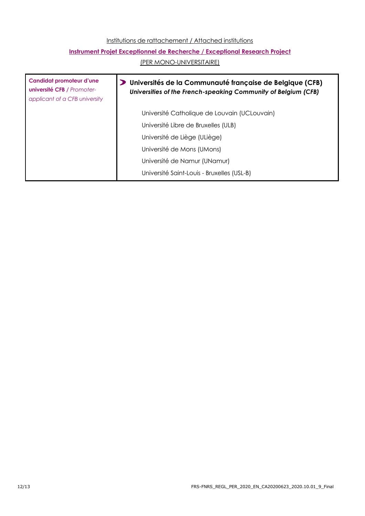#### Institutions de rattachement / Attached institutions

### **Instrument Projet Exceptionnel de Recherche / Exceptional Research Project**

(PER MONO-UNIVERSITAIRE)

| Candidat promoteur d'une<br><b>université CFB / Promoter-</b><br>applicant of a CFB university | Universités de la Communauté française de Belgique (CFB)<br>Universities of the French-speaking Community of Belgium (CFB) |
|------------------------------------------------------------------------------------------------|----------------------------------------------------------------------------------------------------------------------------|
|                                                                                                | Université Catholique de Louvain (UCLouvain)                                                                               |
|                                                                                                | Université Libre de Bruxelles (ULB)                                                                                        |
|                                                                                                | Université de Liège (ULiège)                                                                                               |
|                                                                                                | Université de Mons (UMons)                                                                                                 |
|                                                                                                | Université de Namur (UNamur)                                                                                               |
|                                                                                                | Université Saint-Louis - Bruxelles (USL-B)                                                                                 |